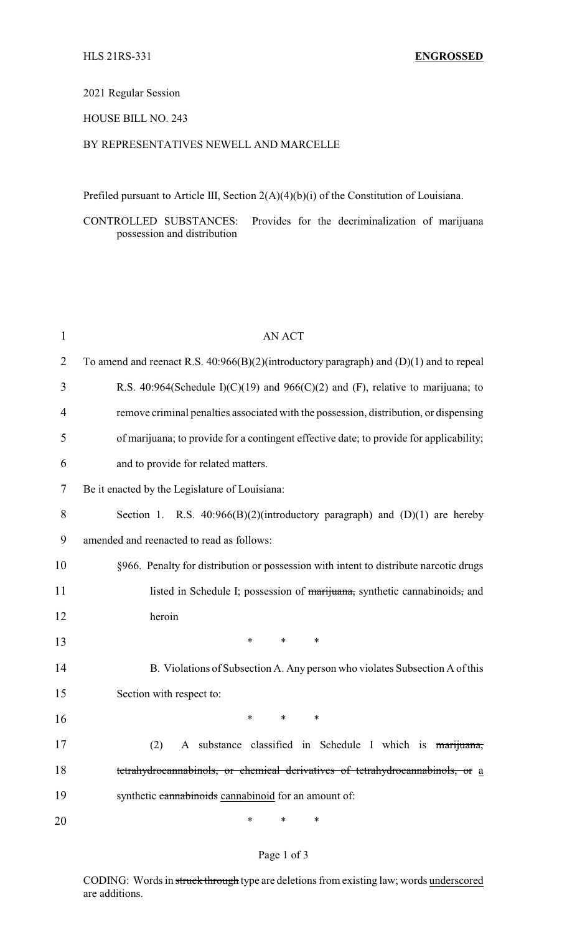# 2021 Regular Session

## HOUSE BILL NO. 243

## BY REPRESENTATIVES NEWELL AND MARCELLE

Prefiled pursuant to Article III, Section 2(A)(4)(b)(i) of the Constitution of Louisiana.

CONTROLLED SUBSTANCES: Provides for the decriminalization of marijuana possession and distribution

| $\mathbf{1}$ | <b>AN ACT</b>                                                                              |
|--------------|--------------------------------------------------------------------------------------------|
| 2            | To amend and reenact R.S. $40:966(B)(2)$ (introductory paragraph) and (D)(1) and to repeal |
| 3            | R.S. 40:964(Schedule I)(C)(19) and 966(C)(2) and (F), relative to marijuana; to            |
| 4            | remove criminal penalties associated with the possession, distribution, or dispensing      |
| 5            | of marijuana; to provide for a contingent effective date; to provide for applicability;    |
| 6            | and to provide for related matters.                                                        |
| 7            | Be it enacted by the Legislature of Louisiana:                                             |
| 8            | Section 1. R.S. $40:966(B)(2)$ (introductory paragraph) and (D)(1) are hereby              |
| 9            | amended and reenacted to read as follows:                                                  |
| 10           | §966. Penalty for distribution or possession with intent to distribute narcotic drugs      |
| 11           | listed in Schedule I; possession of marijuana, synthetic cannabinoids, and                 |
| 12           | heroin                                                                                     |
| 13           | ∗<br>*<br>∗                                                                                |
| 14           | B. Violations of Subsection A. Any person who violates Subsection A of this                |
| 15           | Section with respect to:                                                                   |
| 16           | ∗<br>*<br>∗                                                                                |
| 17           | $(2)$ A substance classified in Schedule I which is marijuana,                             |
| 18           | tetrahydrocannabinols, or chemical derivatives of tetrahydrocannabinols, or a              |
| 19           | synthetic cannabinoids cannabinoid for an amount of:                                       |
| 20           | *<br>*<br>∗                                                                                |

#### Page 1 of 3

CODING: Words in struck through type are deletions from existing law; words underscored are additions.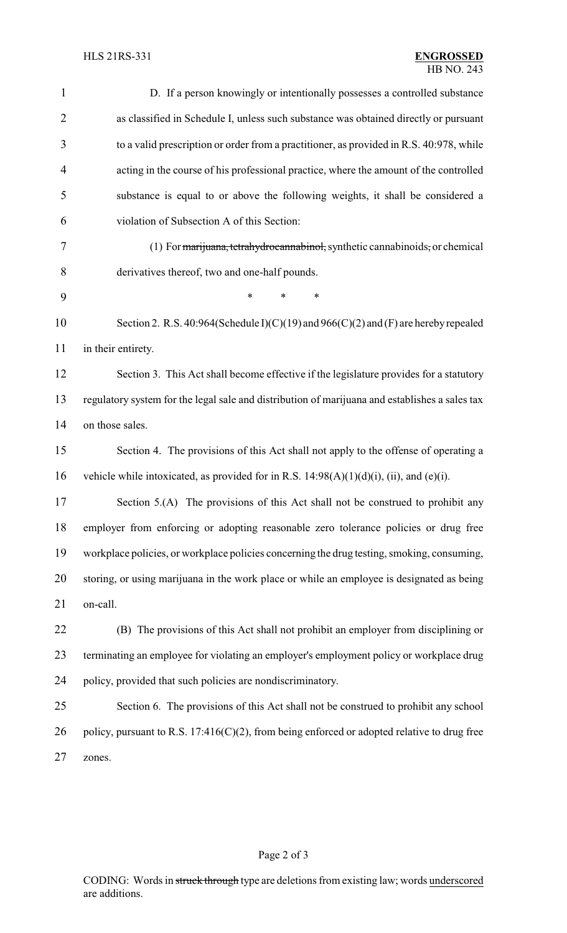| $\mathbf{1}$   | D. If a person knowingly or intentionally possesses a controlled substance                     |  |  |
|----------------|------------------------------------------------------------------------------------------------|--|--|
| $\overline{2}$ | as classified in Schedule I, unless such substance was obtained directly or pursuant           |  |  |
| 3              | to a valid prescription or order from a practitioner, as provided in R.S. 40:978, while        |  |  |
| $\overline{4}$ | acting in the course of his professional practice, where the amount of the controlled          |  |  |
| 5              | substance is equal to or above the following weights, it shall be considered a                 |  |  |
| 6              | violation of Subsection A of this Section:                                                     |  |  |
| 7              | (1) For marijuana, tetrahydrocannabinol, synthetic cannabinoids, or chemical                   |  |  |
| 8              | derivatives thereof, two and one-half pounds.                                                  |  |  |
| 9              | $\ast$<br>*<br>*                                                                               |  |  |
| 10             | Section 2. R.S. 40:964(Schedule I)(C)(19) and 966(C)(2) and (F) are hereby repealed            |  |  |
| 11             | in their entirety.                                                                             |  |  |
| 12             | Section 3. This Act shall become effective if the legislature provides for a statutory         |  |  |
| 13             | regulatory system for the legal sale and distribution of marijuana and establishes a sales tax |  |  |
| 14             | on those sales.                                                                                |  |  |
| 15             | Section 4. The provisions of this Act shall not apply to the offense of operating a            |  |  |
| 16             | vehicle while intoxicated, as provided for in R.S. $14:98(A)(1)(d)(i)$ , (ii), and (e)(i).     |  |  |
| 17             | Section 5.(A) The provisions of this Act shall not be construed to prohibit any                |  |  |
| 18             | employer from enforcing or adopting reasonable zero tolerance policies or drug free            |  |  |
| 19             | workplace policies, or workplace policies concerning the drug testing, smoking, consuming,     |  |  |
| 20             | storing, or using marijuana in the work place or while an employee is designated as being      |  |  |
| 21             | on-call.                                                                                       |  |  |
| 22             | (B) The provisions of this Act shall not prohibit an employer from disciplining or             |  |  |
| 23             | terminating an employee for violating an employer's employment policy or workplace drug        |  |  |
| 24             | policy, provided that such policies are nondiscriminatory.                                     |  |  |
| 25             | Section 6. The provisions of this Act shall not be construed to prohibit any school            |  |  |
| 26             | policy, pursuant to R.S. 17:416(C)(2), from being enforced or adopted relative to drug free    |  |  |
| 27             | zones.                                                                                         |  |  |